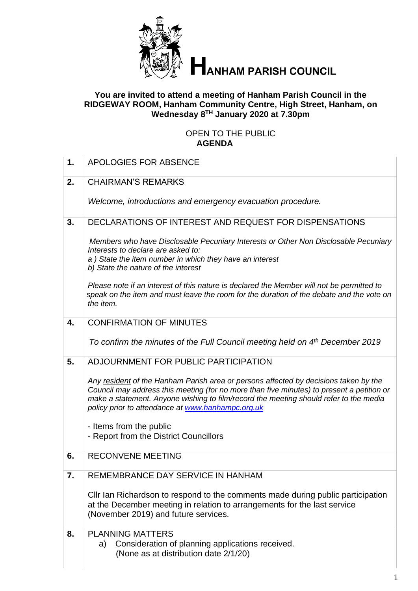

# **HANHAM PARISH COUNCIL**

#### **You are invited to attend a meeting of Hanham Parish Council in the RIDGEWAY ROOM, Hanham Community Centre, High Street, Hanham, on Wednesday 8 TH January 2020 at 7.30pm**

#### OPEN TO THE PUBLIC **AGENDA**

| 1. | APOLOGIES FOR ABSENCE                                                                                                                                                                                                                                                                                                           |
|----|---------------------------------------------------------------------------------------------------------------------------------------------------------------------------------------------------------------------------------------------------------------------------------------------------------------------------------|
| 2. | <b>CHAIRMAN'S REMARKS</b>                                                                                                                                                                                                                                                                                                       |
|    | Welcome, introductions and emergency evacuation procedure.                                                                                                                                                                                                                                                                      |
| 3. | DECLARATIONS OF INTEREST AND REQUEST FOR DISPENSATIONS                                                                                                                                                                                                                                                                          |
|    | Members who have Disclosable Pecuniary Interests or Other Non Disclosable Pecuniary<br>Interests to declare are asked to:<br>a) State the item number in which they have an interest<br>b) State the nature of the interest                                                                                                     |
|    |                                                                                                                                                                                                                                                                                                                                 |
|    | Please note if an interest of this nature is declared the Member will not be permitted to<br>speak on the item and must leave the room for the duration of the debate and the vote on<br>the item.                                                                                                                              |
| 4. | <b>CONFIRMATION OF MINUTES</b>                                                                                                                                                                                                                                                                                                  |
|    | To confirm the minutes of the Full Council meeting held on 4 <sup>th</sup> December 2019                                                                                                                                                                                                                                        |
| 5. | ADJOURNMENT FOR PUBLIC PARTICIPATION                                                                                                                                                                                                                                                                                            |
|    | Any resident of the Hanham Parish area or persons affected by decisions taken by the<br>Council may address this meeting (for no more than five minutes) to present a petition or<br>make a statement. Anyone wishing to film/record the meeting should refer to the media<br>policy prior to attendance at www.hanhampc.org.uk |
|    | - Items from the public                                                                                                                                                                                                                                                                                                         |
|    | - Report from the District Councillors                                                                                                                                                                                                                                                                                          |
| 6. | <b>RECONVENE MEETING</b>                                                                                                                                                                                                                                                                                                        |
| 7. | REMEMBRANCE DAY SERVICE IN HANHAM                                                                                                                                                                                                                                                                                               |
|    | CIIr Ian Richardson to respond to the comments made during public participation<br>at the December meeting in relation to arrangements for the last service<br>(November 2019) and future services.                                                                                                                             |
| 8. | <b>PLANNING MATTERS</b>                                                                                                                                                                                                                                                                                                         |
|    | Consideration of planning applications received.<br>a)<br>(None as at distribution date 2/1/20)                                                                                                                                                                                                                                 |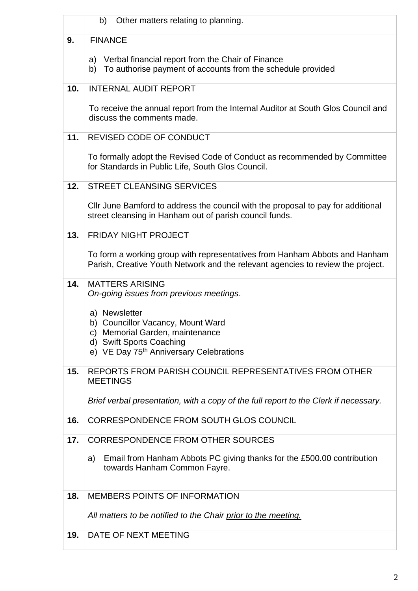|     | b)<br>Other matters relating to planning.                                                                                                                     |
|-----|---------------------------------------------------------------------------------------------------------------------------------------------------------------|
| 9.  | <b>FINANCE</b>                                                                                                                                                |
|     | Verbal financial report from the Chair of Finance<br>a)<br>To authorise payment of accounts from the schedule provided<br>b)                                  |
| 10. | <b>INTERNAL AUDIT REPORT</b>                                                                                                                                  |
|     | To receive the annual report from the Internal Auditor at South Glos Council and<br>discuss the comments made.                                                |
| 11. | REVISED CODE OF CONDUCT                                                                                                                                       |
|     | To formally adopt the Revised Code of Conduct as recommended by Committee<br>for Standards in Public Life, South Glos Council.                                |
| 12. | <b>STREET CLEANSING SERVICES</b>                                                                                                                              |
|     | Cllr June Bamford to address the council with the proposal to pay for additional<br>street cleansing in Hanham out of parish council funds.                   |
| 13. | <b>FRIDAY NIGHT PROJECT</b>                                                                                                                                   |
|     | To form a working group with representatives from Hanham Abbots and Hanham<br>Parish, Creative Youth Network and the relevant agencies to review the project. |
| 14. | <b>MATTERS ARISING</b><br>On-going issues from previous meetings.                                                                                             |
|     | a) Newsletter<br>b) Councillor Vacancy, Mount Ward<br>c) Memorial Garden, maintenance<br>d) Swift Sports Coaching                                             |
|     | e) VE Day 75 <sup>th</sup> Anniversary Celebrations                                                                                                           |
| 15. | REPORTS FROM PARISH COUNCIL REPRESENTATIVES FROM OTHER<br><b>MEETINGS</b>                                                                                     |
|     | Brief verbal presentation, with a copy of the full report to the Clerk if necessary.                                                                          |
| 16. | CORRESPONDENCE FROM SOUTH GLOS COUNCIL                                                                                                                        |
| 17. | <b>CORRESPONDENCE FROM OTHER SOURCES</b>                                                                                                                      |
|     | Email from Hanham Abbots PC giving thanks for the £500.00 contribution<br>a)<br>towards Hanham Common Fayre.                                                  |
| 18. | <b>MEMBERS POINTS OF INFORMATION</b>                                                                                                                          |
|     | All matters to be notified to the Chair prior to the meeting.                                                                                                 |
| 19. | DATE OF NEXT MEETING                                                                                                                                          |